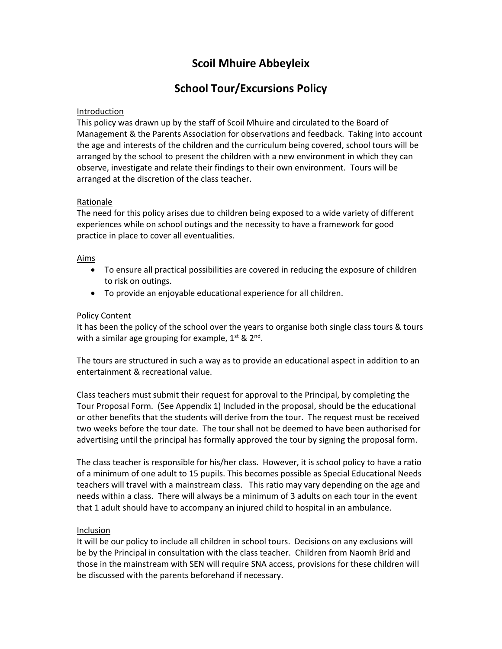## **Scoil Mhuire Abbeyleix**

## **School Tour/Excursions Policy**

## Introduction

This policy was drawn up by the staff of Scoil Mhuire and circulated to the Board of Management & the Parents Association for observations and feedback. Taking into account the age and interests of the children and the curriculum being covered, school tours will be arranged by the school to present the children with a new environment in which they can observe, investigate and relate their findings to their own environment. Tours will be arranged at the discretion of the class teacher.

## Rationale

The need for this policy arises due to children being exposed to a wide variety of different experiences while on school outings and the necessity to have a framework for good practice in place to cover all eventualities.

## Aims

- To ensure all practical possibilities are covered in reducing the exposure of children to risk on outings.
- To provide an enjoyable educational experience for all children.

## Policy Content

It has been the policy of the school over the years to organise both single class tours & tours with a similar age grouping for example,  $1^{st}$  &  $2^{nd}$ .

The tours are structured in such a way as to provide an educational aspect in addition to an entertainment & recreational value.

Class teachers must submit their request for approval to the Principal, by completing the Tour Proposal Form. (See Appendix 1) Included in the proposal, should be the educational or other benefits that the students will derive from the tour. The request must be received two weeks before the tour date. The tour shall not be deemed to have been authorised for advertising until the principal has formally approved the tour by signing the proposal form.

The class teacher is responsible for his/her class. However, it is school policy to have a ratio of a minimum of one adult to 15 pupils. This becomes possible as Special Educational Needs teachers will travel with a mainstream class. This ratio may vary depending on the age and needs within a class. There will always be a minimum of 3 adults on each tour in the event that 1 adult should have to accompany an injured child to hospital in an ambulance.

### Inclusion

It will be our policy to include all children in school tours. Decisions on any exclusions will be by the Principal in consultation with the class teacher. Children from Naomh Bríd and those in the mainstream with SEN will require SNA access, provisions for these children will be discussed with the parents beforehand if necessary.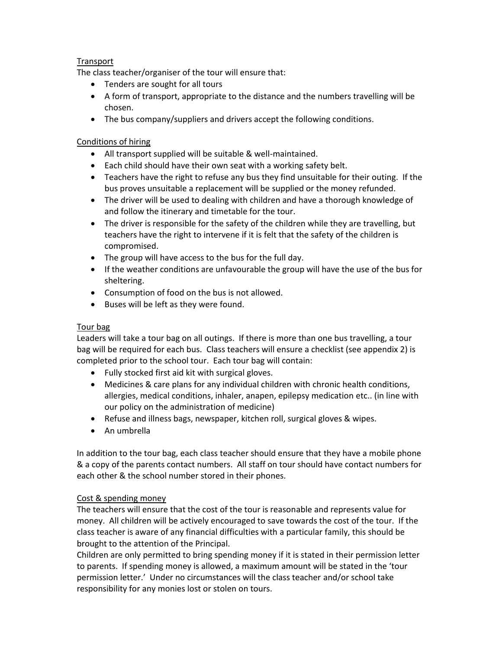## Transport

The class teacher/organiser of the tour will ensure that:

- Tenders are sought for all tours
- A form of transport, appropriate to the distance and the numbers travelling will be chosen.
- The bus company/suppliers and drivers accept the following conditions.

## Conditions of hiring

- All transport supplied will be suitable & well-maintained.
- Each child should have their own seat with a working safety belt.
- Teachers have the right to refuse any bus they find unsuitable for their outing. If the bus proves unsuitable a replacement will be supplied or the money refunded.
- The driver will be used to dealing with children and have a thorough knowledge of and follow the itinerary and timetable for the tour.
- The driver is responsible for the safety of the children while they are travelling, but teachers have the right to intervene if it is felt that the safety of the children is compromised.
- The group will have access to the bus for the full day.
- If the weather conditions are unfavourable the group will have the use of the bus for sheltering.
- Consumption of food on the bus is not allowed.
- Buses will be left as they were found.

## Tour bag

Leaders will take a tour bag on all outings. If there is more than one bus travelling, a tour bag will be required for each bus. Class teachers will ensure a checklist (see appendix 2) is completed prior to the school tour. Each tour bag will contain:

- Fully stocked first aid kit with surgical gloves.
- Medicines & care plans for any individual children with chronic health conditions, allergies, medical conditions, inhaler, anapen, epilepsy medication etc.. (in line with our policy on the administration of medicine)
- Refuse and illness bags, newspaper, kitchen roll, surgical gloves & wipes.
- An umbrella

In addition to the tour bag, each class teacher should ensure that they have a mobile phone & a copy of the parents contact numbers. All staff on tour should have contact numbers for each other & the school number stored in their phones.

## Cost & spending money

The teachers will ensure that the cost of the tour is reasonable and represents value for money. All children will be actively encouraged to save towards the cost of the tour. If the class teacher is aware of any financial difficulties with a particular family, this should be brought to the attention of the Principal.

Children are only permitted to bring spending money if it is stated in their permission letter to parents. If spending money is allowed, a maximum amount will be stated in the 'tour permission letter.' Under no circumstances will the class teacher and/or school take responsibility for any monies lost or stolen on tours.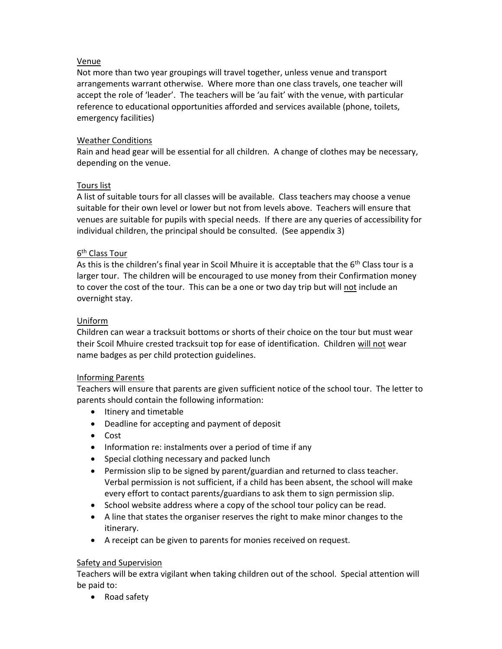## Venue

Not more than two year groupings will travel together, unless venue and transport arrangements warrant otherwise. Where more than one class travels, one teacher will accept the role of 'leader'. The teachers will be 'au fait' with the venue, with particular reference to educational opportunities afforded and services available (phone, toilets, emergency facilities)

## Weather Conditions

Rain and head gear will be essential for all children. A change of clothes may be necessary, depending on the venue.

## Tours list

A list of suitable tours for all classes will be available. Class teachers may choose a venue suitable for their own level or lower but not from levels above. Teachers will ensure that venues are suitable for pupils with special needs. If there are any queries of accessibility for individual children, the principal should be consulted. (See appendix 3)

## <u>6<sup>th</sup> Class Tour</u>

As this is the children's final year in Scoil Mhuire it is acceptable that the  $6<sup>th</sup>$  Class tour is a larger tour. The children will be encouraged to use money from their Confirmation money to cover the cost of the tour. This can be a one or two day trip but will not include an overnight stay.

## Uniform

Children can wear a tracksuit bottoms or shorts of their choice on the tour but must wear their Scoil Mhuire crested tracksuit top for ease of identification. Children will not wear name badges as per child protection guidelines.

### Informing Parents

Teachers will ensure that parents are given sufficient notice of the school tour. The letter to parents should contain the following information:

- Itinery and timetable
- Deadline for accepting and payment of deposit
- Cost
- Information re: instalments over a period of time if any
- Special clothing necessary and packed lunch
- Permission slip to be signed by parent/guardian and returned to class teacher. Verbal permission is not sufficient, if a child has been absent, the school will make every effort to contact parents/guardians to ask them to sign permission slip.
- School website address where a copy of the school tour policy can be read.
- A line that states the organiser reserves the right to make minor changes to the itinerary.
- A receipt can be given to parents for monies received on request.

### Safety and Supervision

Teachers will be extra vigilant when taking children out of the school. Special attention will be paid to:

• Road safety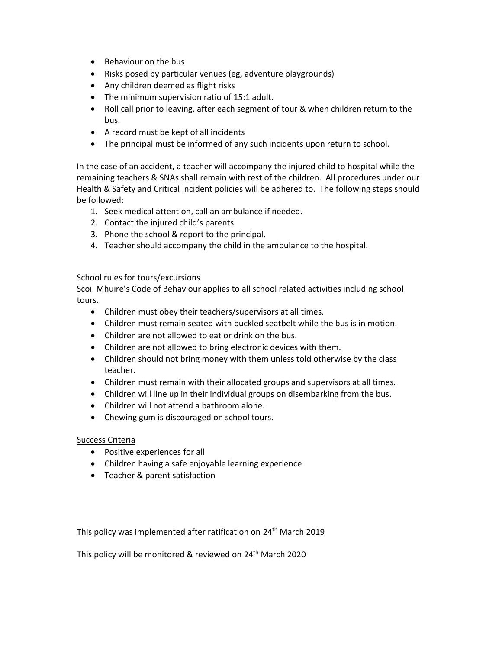- Behaviour on the bus
- Risks posed by particular venues (eg, adventure playgrounds)
- Any children deemed as flight risks
- The minimum supervision ratio of 15:1 adult.
- Roll call prior to leaving, after each segment of tour & when children return to the bus.
- A record must be kept of all incidents
- The principal must be informed of any such incidents upon return to school.

In the case of an accident, a teacher will accompany the injured child to hospital while the remaining teachers & SNAs shall remain with rest of the children. All procedures under our Health & Safety and Critical Incident policies will be adhered to. The following steps should be followed:

- 1. Seek medical attention, call an ambulance if needed.
- 2. Contact the injured child's parents.
- 3. Phone the school & report to the principal.
- 4. Teacher should accompany the child in the ambulance to the hospital.

### School rules for tours/excursions

Scoil Mhuire's Code of Behaviour applies to all school related activities including school tours.

- Children must obey their teachers/supervisors at all times.
- Children must remain seated with buckled seatbelt while the bus is in motion.
- Children are not allowed to eat or drink on the bus.
- Children are not allowed to bring electronic devices with them.
- Children should not bring money with them unless told otherwise by the class teacher.
- Children must remain with their allocated groups and supervisors at all times.
- Children will line up in their individual groups on disembarking from the bus.
- Children will not attend a bathroom alone.
- Chewing gum is discouraged on school tours.

### Success Criteria

- Positive experiences for all
- Children having a safe enjoyable learning experience
- Teacher & parent satisfaction

This policy was implemented after ratification on 24<sup>th</sup> March 2019

This policy will be monitored & reviewed on 24<sup>th</sup> March 2020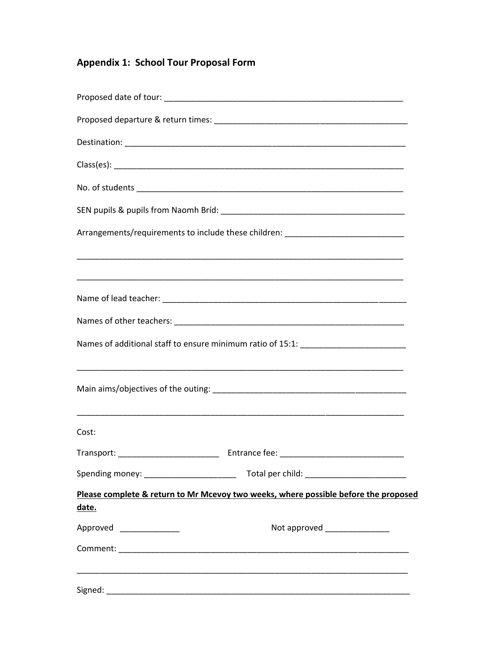# **Appendix 1: School Tour Proposal Form**

| Arrangements/requirements to include these children: ___________________________             |  |  |
|----------------------------------------------------------------------------------------------|--|--|
|                                                                                              |  |  |
|                                                                                              |  |  |
|                                                                                              |  |  |
| Names of additional staff to ensure minimum ratio of 15:1: _____________________             |  |  |
|                                                                                              |  |  |
| Cost:                                                                                        |  |  |
|                                                                                              |  |  |
|                                                                                              |  |  |
| Please complete & return to Mr Mcevoy two weeks, where possible before the proposed<br>date. |  |  |
| Approved _______________<br>Not approved _______________                                     |  |  |
|                                                                                              |  |  |
|                                                                                              |  |  |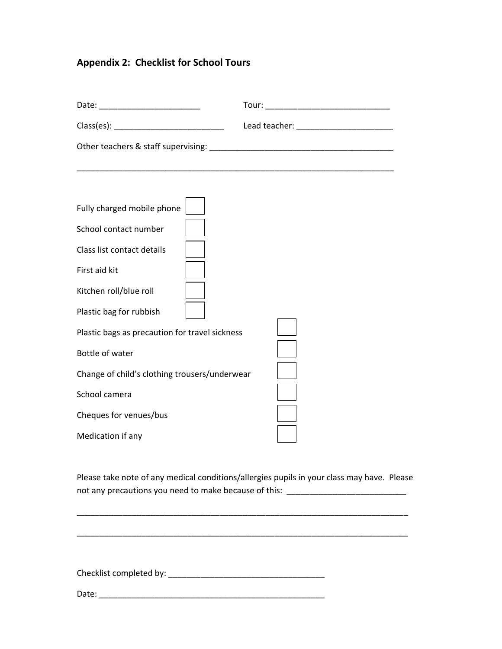# **Appendix 2: Checklist for School Tours**

| Fully charged mobile phone<br>School contact number |                                                                                                                                                                                 |
|-----------------------------------------------------|---------------------------------------------------------------------------------------------------------------------------------------------------------------------------------|
| Class list contact details                          |                                                                                                                                                                                 |
| First aid kit                                       |                                                                                                                                                                                 |
| Kitchen roll/blue roll                              |                                                                                                                                                                                 |
| Plastic bag for rubbish                             |                                                                                                                                                                                 |
| Plastic bags as precaution for travel sickness      |                                                                                                                                                                                 |
| Bottle of water                                     |                                                                                                                                                                                 |
| Change of child's clothing trousers/underwear       |                                                                                                                                                                                 |
| School camera                                       |                                                                                                                                                                                 |
| Cheques for venues/bus                              |                                                                                                                                                                                 |
| Medication if any                                   |                                                                                                                                                                                 |
|                                                     | Please take note of any medical conditions/allergies pupils in your class may have. Please<br>not any precautions you need to make because of this: ___________________________ |
|                                                     |                                                                                                                                                                                 |
|                                                     |                                                                                                                                                                                 |